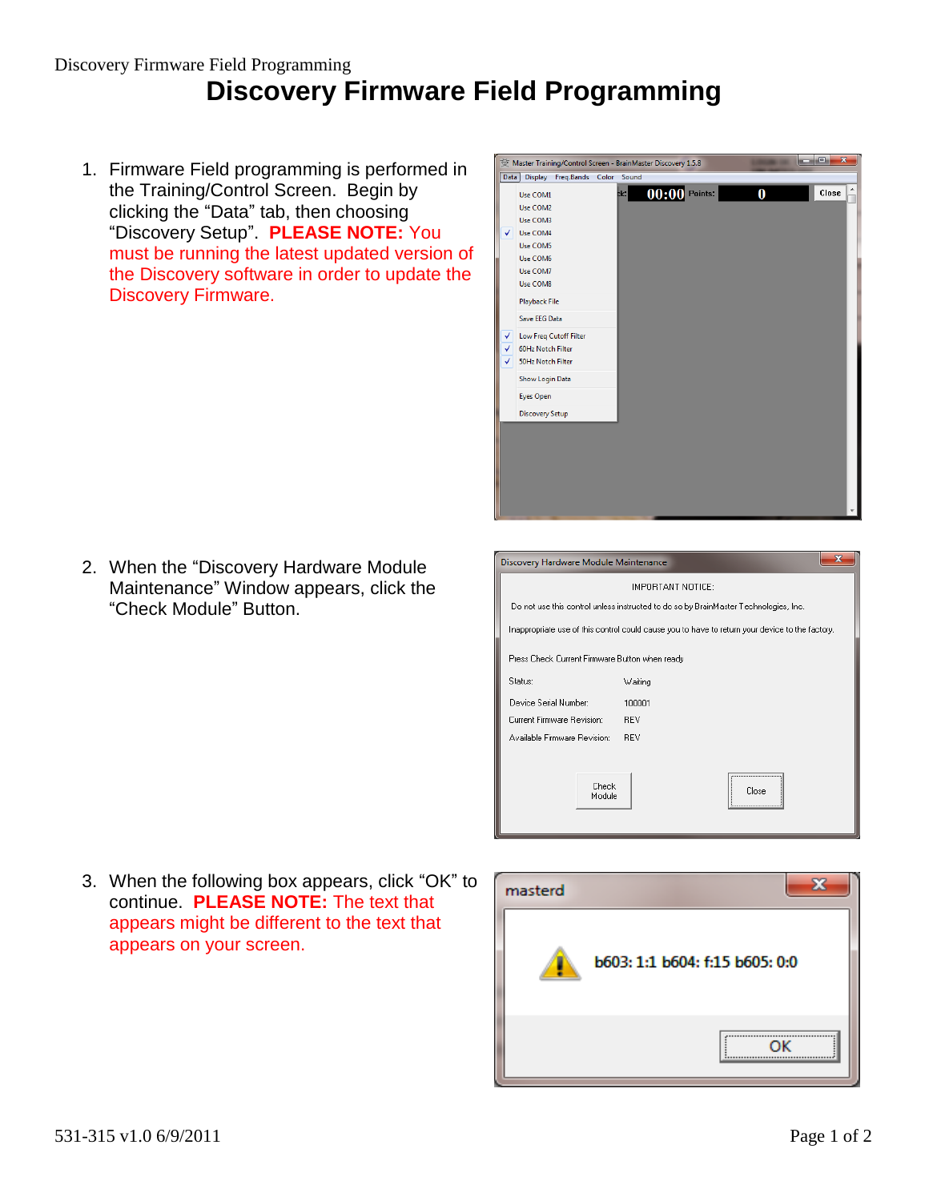## Discovery Firmware Field Programming **Discovery Firmware Field Programming**

1. Firmware Field programming is performed in the Training/Control Screen. Begin by clicking the "Data" tab, then choosing "Discovery Setup". **PLEASE NOTE:** You must be running the latest updated version of the Discovery software in order to update the Discovery Firmware.

2. When the "Discovery Hardware Module Maintenance" Window appears, click the "Check Module" Button.

| أتكشف<br>$\mathbf{x}$<br>Master Training/Control Screen - BrainMaster Discovery 1.5.8 |                                                                                                                                                                                                                  |  |             |                 |  |          |       |
|---------------------------------------------------------------------------------------|------------------------------------------------------------------------------------------------------------------------------------------------------------------------------------------------------------------|--|-------------|-----------------|--|----------|-------|
| <b>Data</b>                                                                           | <b>Display</b><br>Freq.Bands                                                                                                                                                                                     |  | Color Sound |                 |  |          |       |
| $\checkmark$<br>V                                                                     | Use COM1<br>Use COM2<br>Use COM3<br>Use COM4<br>Use COM5<br>Use COM6<br>Use COM7<br>Use COM8<br><b>Playback File</b><br>Save EEG Data<br><b>Low Freq Cutoff Filter</b><br>60Hz Notch Filter<br>50Hz Notch Filter |  | ck:         | $00:00$ Points: |  | $\bf{0}$ | Close |
|                                                                                       | Show Login Data<br>Eyes Open                                                                                                                                                                                     |  |             |                 |  |          |       |
|                                                                                       | <b>Discovery Setup</b>                                                                                                                                                                                           |  |             |                 |  |          |       |
|                                                                                       |                                                                                                                                                                                                                  |  |             |                 |  |          |       |

| Discovery Hardware Module Maintenance                                                           |                |  |  |  |  |  |
|-------------------------------------------------------------------------------------------------|----------------|--|--|--|--|--|
| IMPORTANT NOTICE:                                                                               |                |  |  |  |  |  |
| Do not use this control unless instructed to do so by BrainMaster Technologies, Inc.            |                |  |  |  |  |  |
| Inappropriate use of this control could cause you to have to return your device to the factory. |                |  |  |  |  |  |
| Press Check Current Firmware Button when ready                                                  |                |  |  |  |  |  |
| Status:                                                                                         | Waiting        |  |  |  |  |  |
| Device Serial Number:                                                                           | 100001         |  |  |  |  |  |
| Current Firmware Revision:                                                                      | <b>REV</b>     |  |  |  |  |  |
| Available Firmware Revision:                                                                    | <b>RFV</b>     |  |  |  |  |  |
|                                                                                                 |                |  |  |  |  |  |
| Check<br>Module                                                                                 | <br>Close<br>\ |  |  |  |  |  |

3. When the following box appears, click "OK" to continue. **PLEASE NOTE:** The text that appears might be different to the text that appears on your screen.